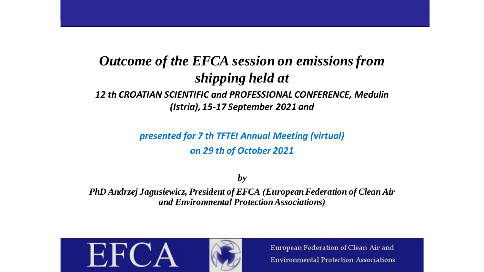# *Outcome of the EFCA session on emissionsfrom shipping held at 12 th CROATIAN SCIENTIFIC and PROFESSIONAL CONFERENCE, Medulin*

#### *(Istria), 15-17 September 2021 and*

*presented for 7 th TFTEI Annual Meeting (virtual) on 29 th of October 2021*

*by* 

*PhD Andrzej Jagusiewicz, President of EFCA (European Federation of Clean Air and Environmental Protection Associations)* 

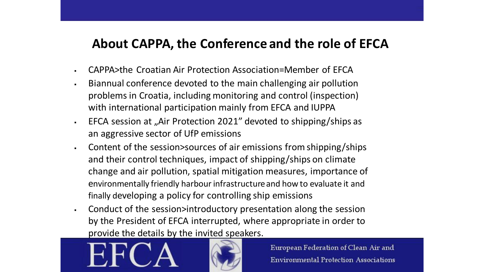### **About CAPPA, the Conference and the role of EFCA**

- CAPPA>the Croatian Air Protection Association=Member of EFCA
- Biannual conference devoted to the main challenging air pollution problems in Croatia, including monitoring and control (inspection) with international participation mainly from EFCA and IUPPA
- **EFCA session at "Air Protection 2021" devoted to shipping/ships as** an aggressive sector of UfP emissions
- Content of the session>sources of air emissions from shipping/ships and their control techniques, impact of shipping/ships on climate change and air pollution, spatial mitigation measures, importance of environmentally friendly harbour infrastructure and how to evaluate it and finally developing a policy for controlling ship emissions
- Conduct of the session>introductory presentation along the session by the President of EFCA interrupted, where appropriate in order to provide the details by the invited speakers.



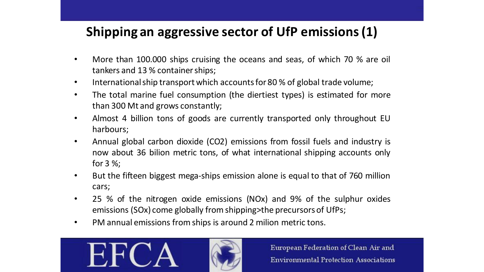# **Shipping an aggressive sector of UfP emissions(1)**

- More than 100.000 ships cruising the oceans and seas, of which 70 % are oil tankers and 13 % container ships;
- International ship transport which accounts for 80 % of global trade volume;
- The total marine fuel consumption (the diertiest types) is estimated for more than 300 Mt and grows constantly;
- Almost 4 billion tons of goods are currently transported only throughout EU harbours;
- Annual global carbon dioxide (CO2) emissions from fossil fuels and industry is now about 36 bilion metric tons, of what international shipping accounts only for 3 %;
- But the fifteen biggest mega-ships emission alone is equal to that of 760 million cars;
- 25 % of the nitrogen oxide emissions (NOx) and 9% of the sulphur oxides emissions (SOx) come globally fromshipping>the precursors of UfPs;
- PM annual emissions fromships is around 2 milion metric tons.



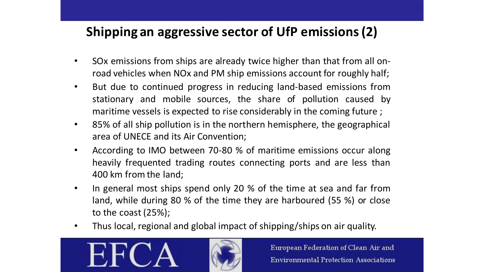# **Shipping an aggressive sector of UfP emissions(2)**

- SOx emissions from ships are already twice higher than that from all onroad vehicles when NOx and PM ship emissions account for roughly half;
- But due to continued progress in reducing land-based emissions from stationary and mobile sources, the share of pollution caused by maritime vessels is expected to rise considerably in the coming future ;
- 85% of all ship pollution is in the northern hemisphere, the geographical area of UNECE and its Air Convention;
- According to IMO between 70-80 % of maritime emissions occur along heavily frequented trading routes connecting ports and are less than 400 km from the land;
- In general most ships spend only 20 % of the time at sea and far from land, while during 80 % of the time they are harboured (55 %) or close to the coast (25%);
- Thus local, regional and global impact of shipping/ships on air quality.



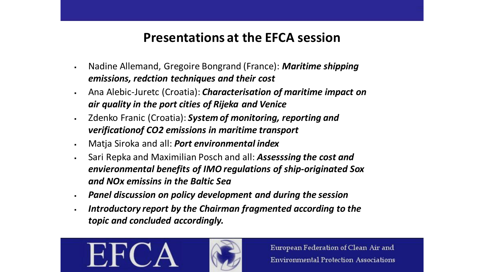### **Presentations at the EFCA session**

- Nadine Allemand, Gregoire Bongrand (France): *Maritime shipping emissions, redction techniques and their cost*
- Ana Alebic-Juretc (Croatia): *Characterisation of maritime impact on air quality in the port cities of Rijeka and Venice*
- Zdenko Franic (Croatia): *System of monitoring, reporting and verificationof CO2 emissions in maritime transport*
- Matja Siroka and all: *Port environmental index*
- Sari Repka and Maximilian Posch and all: *Assesssing the cost and envieronmental benefits of IMO regulations of ship-originated Sox and NOx emissins in the Baltic Sea*
- *Panel discussion on policy development and during the session*
- *Introductory report by the Chairman fragmented according to the topic and concluded accordingly.*



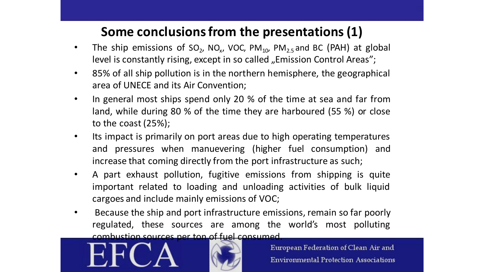## **Some conclusionsfrom the presentations(1)**

- The ship emissions of  $SO_2$ , NO<sub>x</sub>, VOC, PM<sub>10</sub>, PM<sub>2.5</sub> and BC (PAH) at global level is constantly rising, except in so called "Emission Control Areas";
- 85% of all ship pollution is in the northern hemisphere, the geographical area of UNECE and its Air Convention;
- In general most ships spend only 20 % of the time at sea and far from land, while during 80 % of the time they are harboured (55 %) or close to the coast (25%);
- Its impact is primarily on port areas due to high operating temperatures and pressures when manuevering (higher fuel consumption) and increase that coming directly from the port infrastructure as such;
- A part exhaust pollution, fugitive emissions from shipping is quite important related to loading and unloading activities of bulk liquid cargoes and include mainly emissions of VOC;
- Because the ship and port infrastructure emissions, remain so far poorly regulated, these sources are among the world's most polluting combustion sources per ton of fuel consumed.



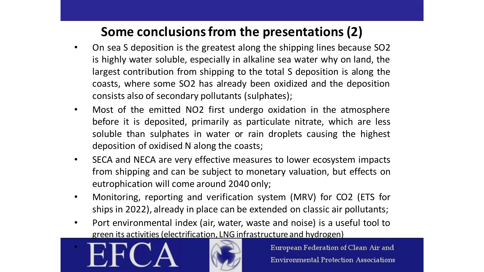# **Some conclusionsfrom the presentations(2)**

- On sea S deposition is the greatest along the shipping lines because SO2 is highly water soluble, especially in alkaline sea water why on land, the largest contribution from shipping to the total S deposition is along the coasts, where some SO2 has already been oxidized and the deposition consists also of secondary pollutants (sulphates);
- Most of the emitted NO2 first undergo oxidation in the atmosphere before it is deposited, primarily as particulate nitrate, which are less soluble than sulphates in water or rain droplets causing the highest deposition of oxidised N along the coasts;
- SECA and NECA are very effective measures to lower ecosystem impacts from shipping and can be subject to monetary valuation, but effects on eutrophication will come around 2040 only;
- Monitoring, reporting and verification system (MRV) for CO2 (ETS for ships in 2022), already in place can be extended on classic air pollutants;
- Port environmental index (air, water, waste and noise) is a useful tool to green its activities (electrification, LNG infrastructure and hydrogen)



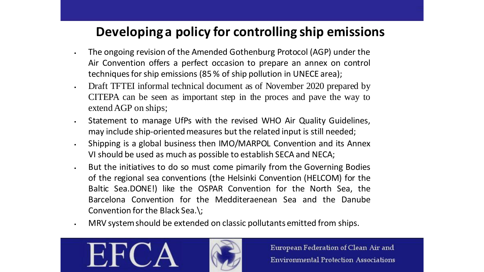## **Developing a policy for controlling ship emissions**

- The ongoing revision of the Amended Gothenburg Protocol (AGP) under the Air Convention offers a perfect occasion to prepare an annex on control techniques for ship emissions (85 % of ship pollution in UNECE area);
- Draft TFTEI informal technical document as of November 2020 prepared by CITEPA can be seen as important step in the proces and pave the way to extend AGP on ships;
- . Statement to manage UfPs with the revised WHO Air Quality Guidelines, may include ship-oriented measures but the related input is still needed;
- . Shipping is a global business then IMO/MARPOL Convention and its Annex VI should be used as much as possible to establish SECA and NECA;
- **EXECT** But the initiatives to do so must come pimarily from the Governing Bodies of the regional sea conventions (the Helsinki Convention (HELCOM) for the Baltic Sea.DONE!) like the OSPAR Convention for the North Sea, the Barcelona Convention for the Medditeraenean Sea and the Danube Convention for the Black Sea.\;
- MRV systemshould be extended on classic pollutants emitted from ships.